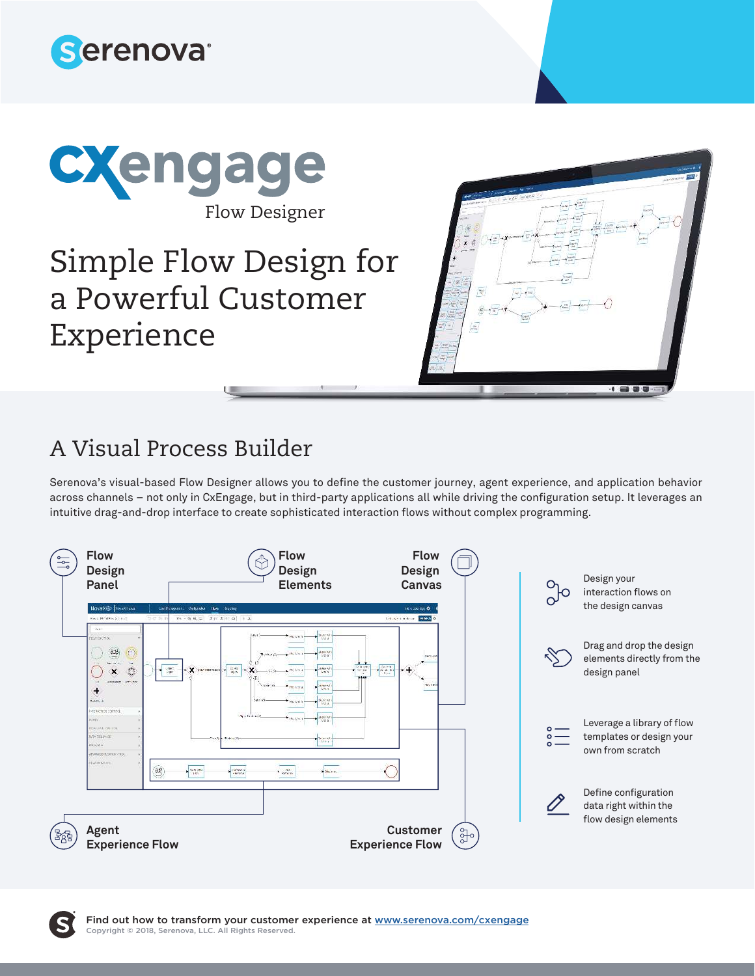



# Simple Flow Design for a Powerful Customer Experience



## A Visual Process Builder

Serenova's visual-based Flow Designer allows you to define the customer journey, agent experience, and application behavior across channels – not only in CxEngage, but in third-party applications all while driving the configuration setup. It leverages an intuitive drag-and-drop interface to create sophisticated interaction flows without complex programming.



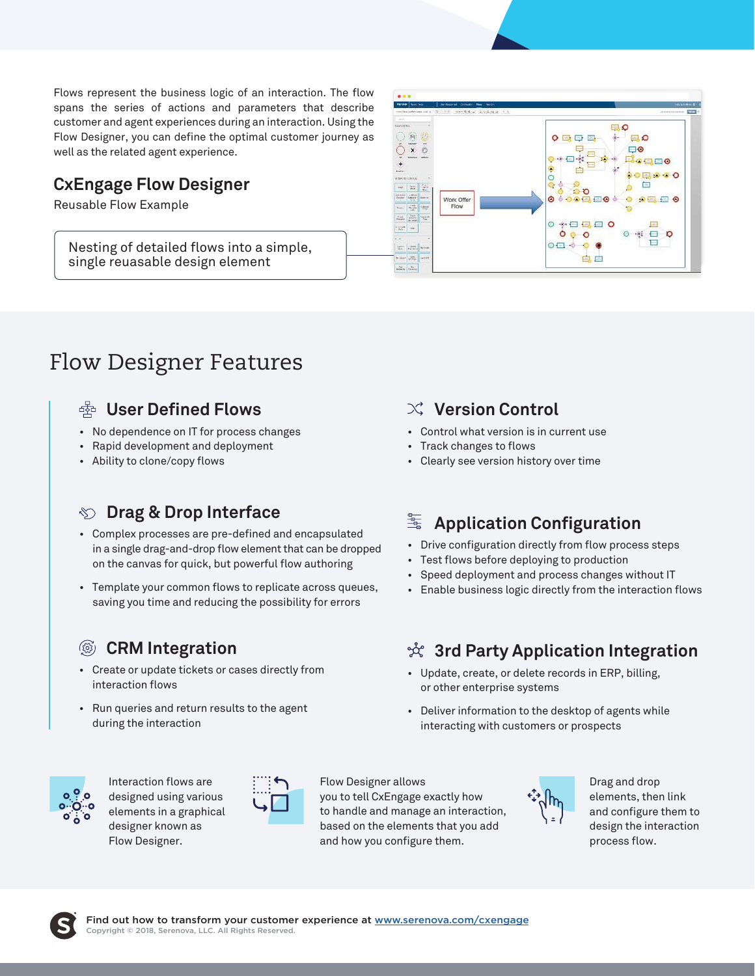Flows represent the business logic of an interaction. The flow spans the series of actions and parameters that describe customer and agent experiences during an interaction. Using the Flow Designer, you can define the optimal customer journey as well as the related agent experience.

#### **CxEngage Flow Designer**

Reusable Flow Example

Nesting of detailed flows into a simple, single reuasable design element



# Flow Designer Features

#### **User Defined Flows**

- No dependence on IT for process changes
- Rapid development and deployment
- Ability to clone/copy flows

#### **Drag & Drop Interface**

- Complex processes are pre-defined and encapsulated in a single drag-and-drop flow element that can be dropped on the canvas for quick, but powerful flow authoring
- Template your common flows to replicate across queues, saving you time and reducing the possibility for errors

### **CRM Integration**

- Create or update tickets or cases directly from interaction flows
- Run queries and return results to the agent during the interaction

#### **Version Control**

- Control what version is in current use
- Track changes to flows
- Clearly see version history over time

#### 暈 **Application Configuration**

- Drive configuration directly from flow process steps
- Test flows before deploying to production
- Speed deployment and process changes without IT
- Enable business logic directly from the interaction flows

#### **3rd Party Application Integration**

- Update, create, or delete records in ERP, billing, or other enterprise systems
- Deliver information to the desktop of agents while interacting with customers or prospects



Interaction flows are designed using various elements in a graphical designer known as Flow Designer.



Flow Designer allows you to tell CxEngage exactly how to handle and manage an interaction, based on the elements that you add and how you configure them.



Drag and drop elements, then link and configure them to design the interaction process flow.